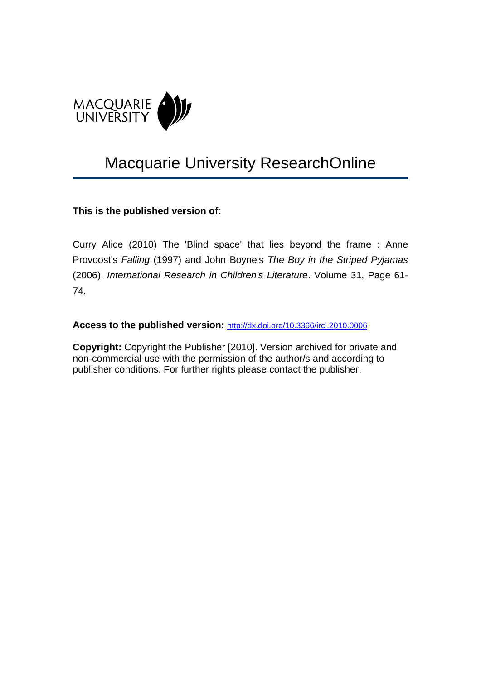

# Macquarie University ResearchOnline

# **This is the published version of:**

Curry Alice (2010) The 'Blind space' that lies beyond the frame : Anne Provoost's *Falling* (1997) and John Boyne's *The Boy in the Striped Pyjamas* (2006). *International Research in Children's Literature*. Volume 31, Page 61- 74.

## **Access to the published version:** [http://dx.doi.org/10.3366/ircl.2010.0006](http://dx.doi.org/10.1108/01435120710837837)

**Copyright:** Copyright the Publisher [2010]. Version archived for private and non-commercial use with the permission of the author/s and according to publisher conditions. For further rights please contact the publisher.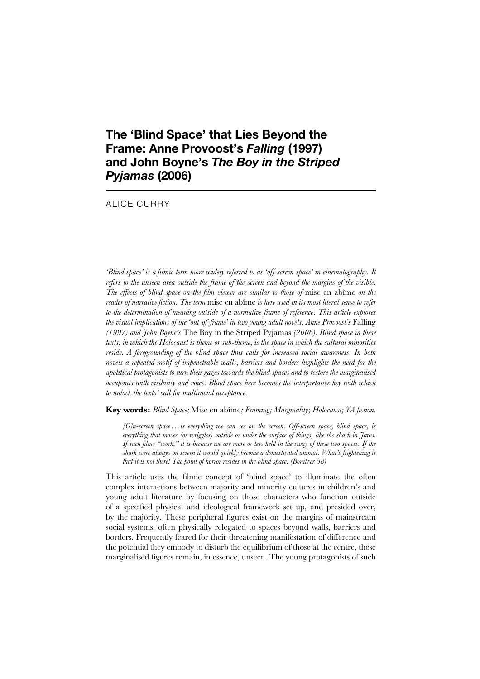# **The 'Blind Space' that Lies Beyond the Frame: Anne Provoost's** *Falling* **(1997) and John Boyne's** *The Boy in the Striped Pyjamas* **(2006)**

#### ALICE CURRY

*'Blind space' is a filmic term more widely referred to as 'off-screen space' in cinematography. It refers to the unseen area outside the frame of the screen and beyond the margins of the visible. The effects of blind space on the film viewer are similar to those of* mise en abîme *on the reader of narrative fiction. The term* mise en abîme *is here used in its most literal sense to refer to the determination of meaning outside of a normative frame of reference. This article explores the visual implications of the 'out-of-frame' in two young adult novels, Anne Provoost's* Falling *(1997) and John Boyne's* The Boy in the Striped Pyjamas *(2006). Blind space in these texts, in which the Holocaust is theme or sub-theme, is the space in which the cultural minorities reside. A foregrounding of the blind space thus calls for increased social awareness. In both novels a repeated motif of impenetrable walls, barriers and borders highlights the need for the apolitical protagonists to turn their gazes towards the blind spaces and to restore the marginalised occupants with visibility and voice. Blind space here becomes the interpretative key with which to unlock the texts' call for multiracial acceptance.*

**Key words:** *Blind Space;* Mise en abîme*; Framing; Marginality; Holocaust; YA fiction.*

*[O]n-screen space . . . is everything we can see on the screen. Off-screen space, blind space, is everything that moves (or wriggles) outside or under the surface of things, like the shark in Jaws. If such films "work," it is because we are more or less held in the sway of these two spaces. If the shark were always on screen it would quickly become a domesticated animal. What's frightening is that it is not there! The point of horror resides in the blind space. (Bonitzer 58)*

This article uses the filmic concept of 'blind space' to illuminate the often complex interactions between majority and minority cultures in children's and young adult literature by focusing on those characters who function outside of a specified physical and ideological framework set up, and presided over, by the majority. These peripheral figures exist on the margins of mainstream social systems, often physically relegated to spaces beyond walls, barriers and borders. Frequently feared for their threatening manifestation of difference and the potential they embody to disturb the equilibrium of those at the centre, these marginalised figures remain, in essence, unseen. The young protagonists of such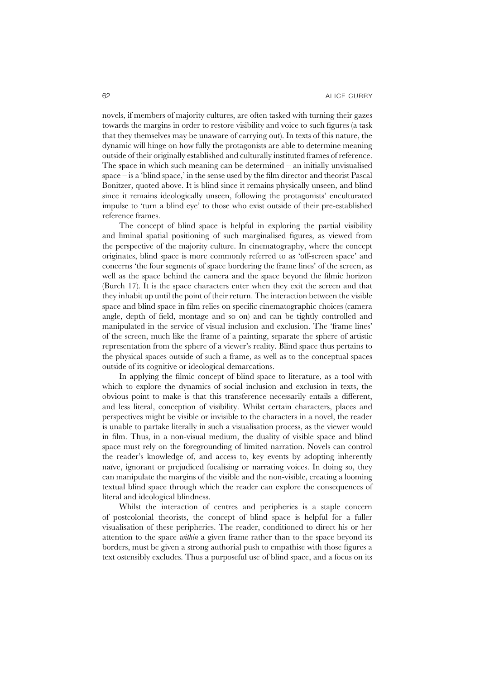novels, if members of majority cultures, are often tasked with turning their gazes towards the margins in order to restore visibility and voice to such figures (a task that they themselves may be unaware of carrying out). In texts of this nature, the dynamic will hinge on how fully the protagonists are able to determine meaning outside of their originally established and culturally instituted frames of reference. The space in which such meaning can be determined – an initially unvisualised space – is a 'blind space,' in the sense used by the film director and theorist Pascal Bonitzer, quoted above. It is blind since it remains physically unseen, and blind since it remains ideologically unseen, following the protagonists' enculturated impulse to 'turn a blind eye' to those who exist outside of their pre-established reference frames.

The concept of blind space is helpful in exploring the partial visibility and liminal spatial positioning of such marginalised figures, as viewed from the perspective of the majority culture. In cinematography, where the concept originates, blind space is more commonly referred to as 'off-screen space' and concerns 'the four segments of space bordering the frame lines' of the screen, as well as the space behind the camera and the space beyond the filmic horizon (Burch 17). It is the space characters enter when they exit the screen and that they inhabit up until the point of their return. The interaction between the visible space and blind space in film relies on specific cinematographic choices (camera angle, depth of field, montage and so on) and can be tightly controlled and manipulated in the service of visual inclusion and exclusion. The 'frame lines' of the screen, much like the frame of a painting, separate the sphere of artistic representation from the sphere of a viewer's reality. Blind space thus pertains to the physical spaces outside of such a frame, as well as to the conceptual spaces outside of its cognitive or ideological demarcations.

In applying the filmic concept of blind space to literature, as a tool with which to explore the dynamics of social inclusion and exclusion in texts, the obvious point to make is that this transference necessarily entails a different, and less literal, conception of visibility. Whilst certain characters, places and perspectives might be visible or invisible to the characters in a novel, the reader is unable to partake literally in such a visualisation process, as the viewer would in film. Thus, in a non-visual medium, the duality of visible space and blind space must rely on the foregrounding of limited narration. Novels can control the reader's knowledge of, and access to, key events by adopting inherently naïve, ignorant or prejudiced focalising or narrating voices. In doing so, they can manipulate the margins of the visible and the non-visible, creating a looming textual blind space through which the reader can explore the consequences of literal and ideological blindness.

Whilst the interaction of centres and peripheries is a staple concern of postcolonial theorists, the concept of blind space is helpful for a fuller visualisation of these peripheries. The reader, conditioned to direct his or her attention to the space *within* a given frame rather than to the space beyond its borders, must be given a strong authorial push to empathise with those figures a text ostensibly excludes. Thus a purposeful use of blind space, and a focus on its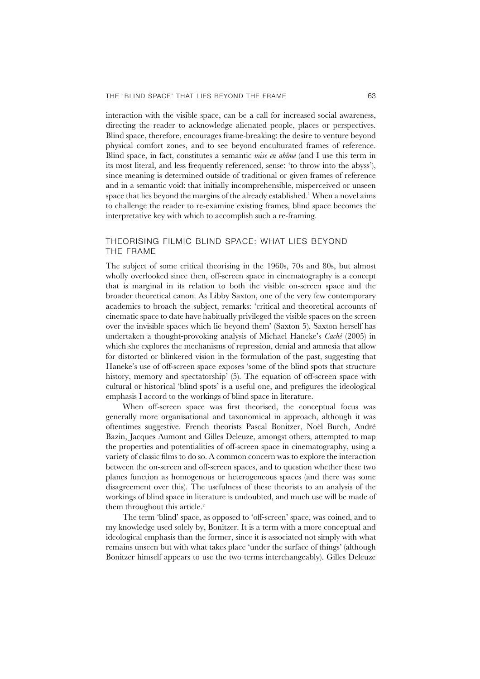interaction with the visible space, can be a call for increased social awareness, directing the reader to acknowledge alienated people, places or perspectives. Blind space, therefore, encourages frame-breaking: the desire to venture beyond physical comfort zones, and to see beyond enculturated frames of reference. Blind space, in fact, constitutes a semantic *mise en abîme* (and I use this term in its most literal, and less frequently referenced, sense: 'to throw into the abyss'), since meaning is determined outside of traditional or given frames of reference and in a semantic void: that initially incomprehensible, misperceived or unseen space that lies beyond the margins of the already established.<sup>1</sup> When a novel aims to challenge the reader to re-examine existing frames, blind space becomes the interpretative key with which to accomplish such a re-framing.

#### THEORISING FILMIC BLIND SPACE: WHAT LIES BEYOND THE FRAME

The subject of some critical theorising in the 1960s, 70s and 80s, but almost wholly overlooked since then, off-screen space in cinematography is a concept that is marginal in its relation to both the visible on-screen space and the broader theoretical canon. As Libby Saxton, one of the very few contemporary academics to broach the subject, remarks: 'critical and theoretical accounts of cinematic space to date have habitually privileged the visible spaces on the screen over the invisible spaces which lie beyond them' (Saxton 5). Saxton herself has undertaken a thought-provoking analysis of Michael Haneke's *Caché* (2005) in which she explores the mechanisms of repression, denial and amnesia that allow for distorted or blinkered vision in the formulation of the past, suggesting that Haneke's use of off-screen space exposes 'some of the blind spots that structure history, memory and spectatorship' (5). The equation of off-screen space with cultural or historical 'blind spots' is a useful one, and prefigures the ideological emphasis I accord to the workings of blind space in literature.

When off-screen space was first theorised, the conceptual focus was generally more organisational and taxonomical in approach, although it was oftentimes suggestive. French theorists Pascal Bonitzer, Noël Burch, André Bazin, Jacques Aumont and Gilles Deleuze, amongst others, attempted to map the properties and potentialities of off-screen space in cinematography, using a variety of classic films to do so. A common concern was to explore the interaction between the on-screen and off-screen spaces, and to question whether these two planes function as homogenous or heterogeneous spaces (and there was some disagreement over this). The usefulness of these theorists to an analysis of the workings of blind space in literature is undoubted, and much use will be made of them throughout this article.<sup>2</sup>

The term 'blind' space, as opposed to 'off-screen' space, was coined, and to my knowledge used solely by, Bonitzer. It is a term with a more conceptual and ideological emphasis than the former, since it is associated not simply with what remains unseen but with what takes place 'under the surface of things' (although Bonitzer himself appears to use the two terms interchangeably). Gilles Deleuze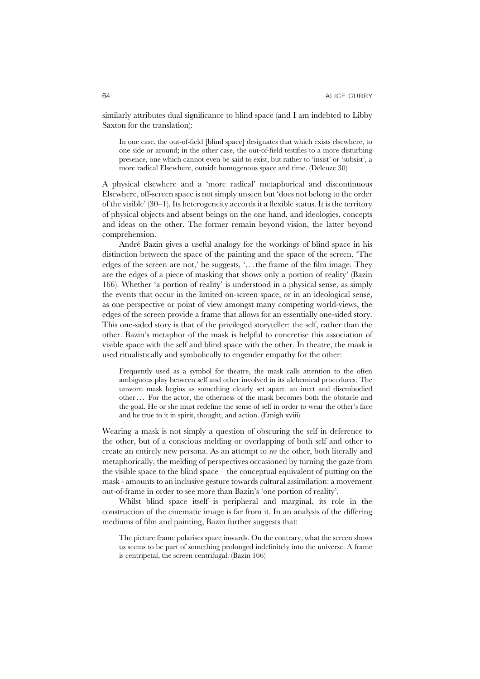similarly attributes dual significance to blind space (and I am indebted to Libby Saxton for the translation):

In one case, the out-of-field [blind space] designates that which exists elsewhere, to one side or around; in the other case, the out-of-field testifies to a more disturbing presence, one which cannot even be said to exist, but rather to 'insist' or 'subsist', a more radical Elsewhere, outside homogenous space and time. (Deleuze 30)

A physical elsewhere and a 'more radical' metaphorical and discontinuous Elsewhere, off-screen space is not simply unseen but 'does not belong to the order of the visible' (30–1). Its heterogeneity accords it a flexible status. It is the territory of physical objects and absent beings on the one hand, and ideologies, concepts and ideas on the other. The former remain beyond vision, the latter beyond comprehension.

André Bazin gives a useful analogy for the workings of blind space in his distinction between the space of the painting and the space of the screen. 'The edges of the screen are not,' he suggests, '. . . the frame of the film image. They are the edges of a piece of masking that shows only a portion of reality' (Bazin 166). Whether 'a portion of reality' is understood in a physical sense, as simply the events that occur in the limited on-screen space, or in an ideological sense, as one perspective or point of view amongst many competing world-views, the edges of the screen provide a frame that allows for an essentially one-sided story. This one-sided story is that of the privileged storyteller: the self, rather than the other. Bazin's metaphor of the mask is helpful to concretise this association of visible space with the self and blind space with the other. In theatre, the mask is used ritualistically and symbolically to engender empathy for the other:

Frequently used as a symbol for theatre, the mask calls attention to the often ambiguous play between self and other involved in its alchemical procedures. The unworn mask begins as something clearly set apart: an inert and disembodied other . . . For the actor, the otherness of the mask becomes both the obstacle and the goal. He or she must redefine the sense of self in order to wear the other's face and be true to it in spirit, thought, and action. (Emigh xviii)

Wearing a mask is not simply a question of obscuring the self in deference to the other, but of a conscious melding or overlapping of both self and other to create an entirely new persona. As an attempt to *see* the other, both literally and metaphorically, the melding of perspectives occasioned by turning the gaze from the visible space to the blind space – the conceptual equivalent of putting on the mask - amounts to an inclusive gesture towards cultural assimilation: a movement out-of-frame in order to see more than Bazin's 'one portion of reality'.

Whilst blind space itself is peripheral and marginal, its role in the construction of the cinematic image is far from it. In an analysis of the differing mediums of film and painting, Bazin further suggests that:

The picture frame polarises space inwards. On the contrary, what the screen shows us seems to be part of something prolonged indefinitely into the universe. A frame is centripetal, the screen centrifugal. (Bazin 166)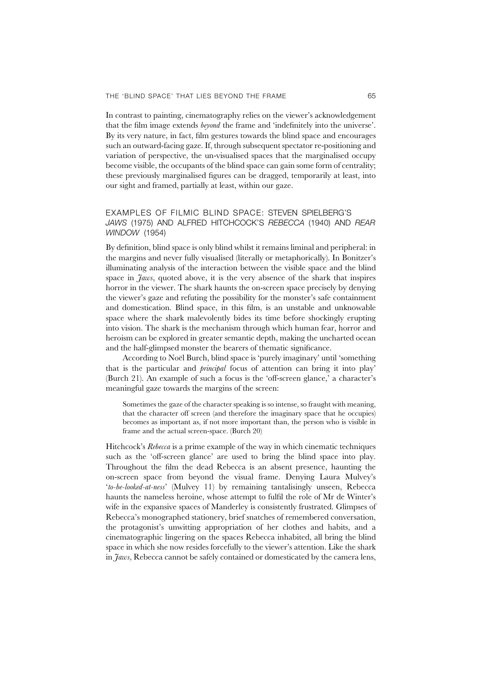In contrast to painting, cinematography relies on the viewer's acknowledgement that the film image extends *beyond* the frame and 'indefinitely into the universe'. By its very nature, in fact, film gestures towards the blind space and encourages such an outward-facing gaze. If, through subsequent spectator re-positioning and variation of perspective, the un-visualised spaces that the marginalised occupy become visible, the occupants of the blind space can gain some form of centrality; these previously marginalised figures can be dragged, temporarily at least, into our sight and framed, partially at least, within our gaze.

#### EXAMPLES OF FILMIC BLIND SPACE: STEVEN SPIELBERG'S *JAWS* (1975) AND ALFRED HITCHCOCK'S *REBECCA* (1940) AND *REAR WINDOW* (1954)

By definition, blind space is only blind whilst it remains liminal and peripheral: in the margins and never fully visualised (literally or metaphorically). In Bonitzer's illuminating analysis of the interaction between the visible space and the blind space in *Jaws*, quoted above, it is the very absence of the shark that inspires horror in the viewer. The shark haunts the on-screen space precisely by denying the viewer's gaze and refuting the possibility for the monster's safe containment and domestication. Blind space, in this film, is an unstable and unknowable space where the shark malevolently bides its time before shockingly erupting into vision. The shark is the mechanism through which human fear, horror and heroism can be explored in greater semantic depth, making the uncharted ocean and the half-glimpsed monster the bearers of thematic significance.

According to Noël Burch, blind space is 'purely imaginary' until 'something that is the particular and *principal* focus of attention can bring it into play' (Burch 21). An example of such a focus is the 'off-screen glance,' a character's meaningful gaze towards the margins of the screen:

Sometimes the gaze of the character speaking is so intense, so fraught with meaning, that the character off screen (and therefore the imaginary space that he occupies) becomes as important as, if not more important than, the person who is visible in frame and the actual screen-space. (Burch 20)

Hitchcock's *Rebecca* is a prime example of the way in which cinematic techniques such as the 'off-screen glance' are used to bring the blind space into play. Throughout the film the dead Rebecca is an absent presence, haunting the on-screen space from beyond the visual frame. Denying Laura Mulvey's '*to-be-looked-at-ness*' (Mulvey 11) by remaining tantalisingly unseen, Rebecca haunts the nameless heroine, whose attempt to fulfil the role of Mr de Winter's wife in the expansive spaces of Manderley is consistently frustrated. Glimpses of Rebecca's monographed stationery, brief snatches of remembered conversation, the protagonist's unwitting appropriation of her clothes and habits, and a cinematographic lingering on the spaces Rebecca inhabited, all bring the blind space in which she now resides forcefully to the viewer's attention. Like the shark in *Jaws*, Rebecca cannot be safely contained or domesticated by the camera lens,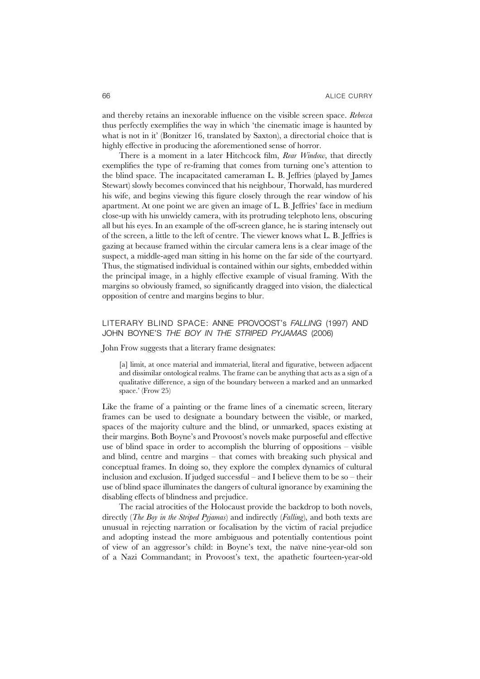and thereby retains an inexorable influence on the visible screen space. *Rebecca* thus perfectly exemplifies the way in which 'the cinematic image is haunted by what is not in it' (Bonitzer 16, translated by Saxton), a directorial choice that is highly effective in producing the aforementioned sense of horror.

There is a moment in a later Hitchcock film, *Rear Window*, that directly exemplifies the type of re-framing that comes from turning one's attention to the blind space. The incapacitated cameraman L. B. Jeffries (played by James Stewart) slowly becomes convinced that his neighbour, Thorwald, has murdered his wife, and begins viewing this figure closely through the rear window of his apartment. At one point we are given an image of L. B. Jeffries' face in medium close-up with his unwieldy camera, with its protruding telephoto lens, obscuring all but his eyes. In an example of the off-screen glance, he is staring intensely out of the screen, a little to the left of centre. The viewer knows what L. B. Jeffries is gazing at because framed within the circular camera lens is a clear image of the suspect, a middle-aged man sitting in his home on the far side of the courtyard. Thus, the stigmatised individual is contained within our sights, embedded within the principal image, in a highly effective example of visual framing. With the margins so obviously framed, so significantly dragged into vision, the dialectical opposition of centre and margins begins to blur.

#### LITERARY BLIND SPACE: ANNE PROVOOST's *FALLING* (1997) AND JOHN BOYNE'S *THE BOY IN THE STRIPED PYJAMAS* (2006)

John Frow suggests that a literary frame designates:

[a] limit, at once material and immaterial, literal and figurative, between adjacent and dissimilar ontological realms. The frame can be anything that acts as a sign of a qualitative difference, a sign of the boundary between a marked and an unmarked space.' (Frow 25)

Like the frame of a painting or the frame lines of a cinematic screen, literary frames can be used to designate a boundary between the visible, or marked, spaces of the majority culture and the blind, or unmarked, spaces existing at their margins. Both Boyne's and Provoost's novels make purposeful and effective use of blind space in order to accomplish the blurring of oppositions – visible and blind, centre and margins – that comes with breaking such physical and conceptual frames. In doing so, they explore the complex dynamics of cultural inclusion and exclusion. If judged successful – and I believe them to be so – their use of blind space illuminates the dangers of cultural ignorance by examining the disabling effects of blindness and prejudice.

The racial atrocities of the Holocaust provide the backdrop to both novels, directly (*The Boy in the Striped Pyjamas*) and indirectly (*Falling*), and both texts are unusual in rejecting narration or focalisation by the victim of racial prejudice and adopting instead the more ambiguous and potentially contentious point of view of an aggressor's child: in Boyne's text, the naïve nine-year-old son of a Nazi Commandant; in Provoost's text, the apathetic fourteen-year-old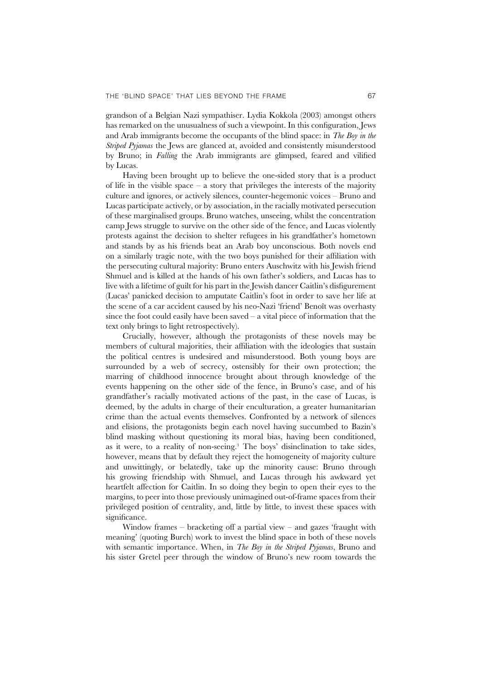grandson of a Belgian Nazi sympathiser. Lydia Kokkola (2003) amongst others has remarked on the unusualness of such a viewpoint. In this configuration, Jews and Arab immigrants become the occupants of the blind space: in *The Boy in the Striped Pyjamas* the Jews are glanced at, avoided and consistently misunderstood by Bruno; in *Falling* the Arab immigrants are glimpsed, feared and vilified by Lucas.

Having been brought up to believe the one-sided story that is a product of life in the visible space – a story that privileges the interests of the majority culture and ignores, or actively silences, counter-hegemonic voices – Bruno and Lucas participate actively, or by association, in the racially motivated persecution of these marginalised groups. Bruno watches, unseeing, whilst the concentration camp Jews struggle to survive on the other side of the fence, and Lucas violently protests against the decision to shelter refugees in his grandfather's hometown and stands by as his friends beat an Arab boy unconscious. Both novels end on a similarly tragic note, with the two boys punished for their affiliation with the persecuting cultural majority: Bruno enters Auschwitz with his Jewish friend Shmuel and is killed at the hands of his own father's soldiers, and Lucas has to live with a lifetime of guilt for his part in the Jewish dancer Caitlin's disfigurement (Lucas' panicked decision to amputate Caitlin's foot in order to save her life at the scene of a car accident caused by his neo-Nazi 'friend' Benoît was overhasty since the foot could easily have been saved  $-$  a vital piece of information that the text only brings to light retrospectively).

Crucially, however, although the protagonists of these novels may be members of cultural majorities, their affiliation with the ideologies that sustain the political centres is undesired and misunderstood. Both young boys are surrounded by a web of secrecy, ostensibly for their own protection; the marring of childhood innocence brought about through knowledge of the events happening on the other side of the fence, in Bruno's case, and of his grandfather's racially motivated actions of the past, in the case of Lucas, is deemed, by the adults in charge of their enculturation, a greater humanitarian crime than the actual events themselves. Confronted by a network of silences and elisions, the protagonists begin each novel having succumbed to Bazin's blind masking without questioning its moral bias, having been conditioned, as it were, to a reality of non-seeing.3 The boys' disinclination to take sides, however, means that by default they reject the homogeneity of majority culture and unwittingly, or belatedly, take up the minority cause: Bruno through his growing friendship with Shmuel, and Lucas through his awkward yet heartfelt affection for Caitlin. In so doing they begin to open their eyes to the margins, to peer into those previously unimagined out-of-frame spaces from their privileged position of centrality, and, little by little, to invest these spaces with significance.

Window frames – bracketing off a partial view – and gazes 'fraught with meaning' (quoting Burch) work to invest the blind space in both of these novels with semantic importance. When, in *The Boy in the Striped Pyjamas*, Bruno and his sister Gretel peer through the window of Bruno's new room towards the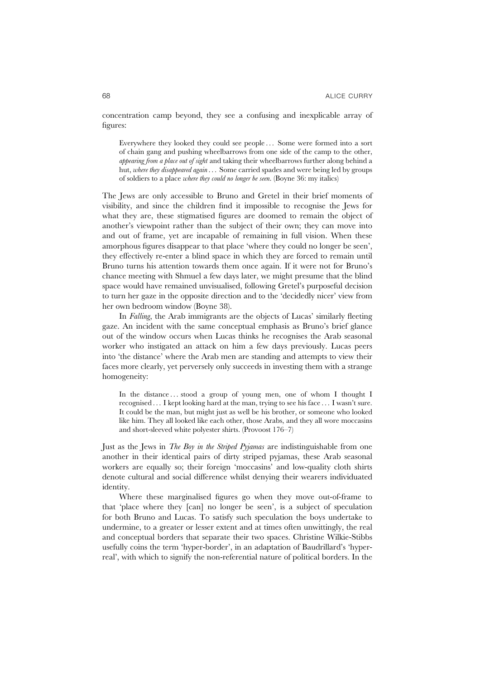concentration camp beyond, they see a confusing and inexplicable array of figures:

Everywhere they looked they could see people . . . Some were formed into a sort of chain gang and pushing wheelbarrows from one side of the camp to the other, *appearing from a place out of sight* and taking their wheelbarrows further along behind a hut, *where they disappeared again* . . . Some carried spades and were being led by groups of soldiers to a place *where they could no longer be seen*. (Boyne 36: my italics)

The Jews are only accessible to Bruno and Gretel in their brief moments of visibility, and since the children find it impossible to recognise the Jews for what they are, these stigmatised figures are doomed to remain the object of another's viewpoint rather than the subject of their own; they can move into and out of frame, yet are incapable of remaining in full vision. When these amorphous figures disappear to that place 'where they could no longer be seen', they effectively re-enter a blind space in which they are forced to remain until Bruno turns his attention towards them once again. If it were not for Bruno's chance meeting with Shmuel a few days later, we might presume that the blind space would have remained unvisualised, following Gretel's purposeful decision to turn her gaze in the opposite direction and to the 'decidedly nicer' view from her own bedroom window (Boyne 38).

In *Falling*, the Arab immigrants are the objects of Lucas' similarly fleeting gaze. An incident with the same conceptual emphasis as Bruno's brief glance out of the window occurs when Lucas thinks he recognises the Arab seasonal worker who instigated an attack on him a few days previously. Lucas peers into 'the distance' where the Arab men are standing and attempts to view their faces more clearly, yet perversely only succeeds in investing them with a strange homogeneity:

In the distance ... stood a group of young men, one of whom I thought I recognised . . . I kept looking hard at the man, trying to see his face . . . I wasn't sure. It could be the man, but might just as well be his brother, or someone who looked like him. They all looked like each other, those Arabs, and they all wore moccasins and short-sleeved white polyester shirts. (Provoost 176–7)

Just as the Jews in *The Boy in the Striped Pyjamas* are indistinguishable from one another in their identical pairs of dirty striped pyjamas, these Arab seasonal workers are equally so; their foreign 'moccasins' and low-quality cloth shirts denote cultural and social difference whilst denying their wearers individuated identity.

Where these marginalised figures go when they move out-of-frame to that 'place where they [can] no longer be seen', is a subject of speculation for both Bruno and Lucas. To satisfy such speculation the boys undertake to undermine, to a greater or lesser extent and at times often unwittingly, the real and conceptual borders that separate their two spaces. Christine Wilkie-Stibbs usefully coins the term 'hyper-border', in an adaptation of Baudrillard's 'hyperreal', with which to signify the non-referential nature of political borders. In the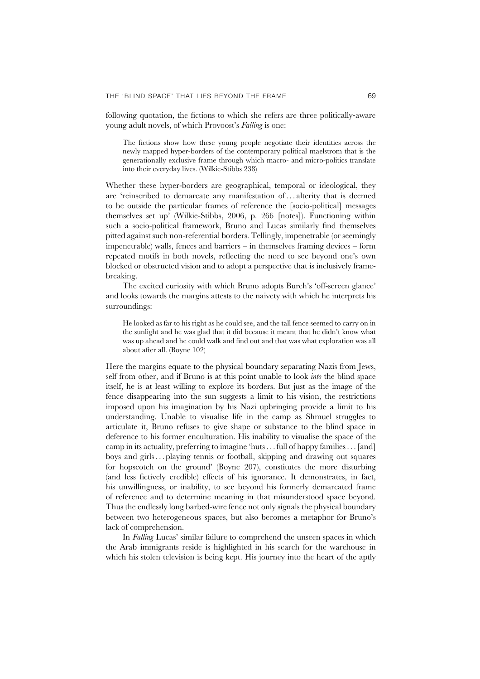following quotation, the fictions to which she refers are three politically-aware young adult novels, of which Provoost's *Falling* is one:

The fictions show how these young people negotiate their identities across the newly mapped hyper-borders of the contemporary political maelstrom that is the generationally exclusive frame through which macro- and micro-politics translate into their everyday lives. (Wilkie-Stibbs 238)

Whether these hyper-borders are geographical, temporal or ideological, they are 'reinscribed to demarcate any manifestation of...alterity that is deemed to be outside the particular frames of reference the [socio-political] messages themselves set up' (Wilkie-Stibbs, 2006, p. 266 [notes]). Functioning within such a socio-political framework, Bruno and Lucas similarly find themselves pitted against such non-referential borders. Tellingly, impenetrable (or seemingly impenetrable) walls, fences and barriers – in themselves framing devices – form repeated motifs in both novels, reflecting the need to see beyond one's own blocked or obstructed vision and to adopt a perspective that is inclusively framebreaking.

The excited curiosity with which Bruno adopts Burch's 'off-screen glance' and looks towards the margins attests to the naivety with which he interprets his surroundings:

He looked as far to his right as he could see, and the tall fence seemed to carry on in the sunlight and he was glad that it did because it meant that he didn't know what was up ahead and he could walk and find out and that was what exploration was all about after all. (Boyne 102)

Here the margins equate to the physical boundary separating Nazis from Jews, self from other, and if Bruno is at this point unable to look *into* the blind space itself, he is at least willing to explore its borders. But just as the image of the fence disappearing into the sun suggests a limit to his vision, the restrictions imposed upon his imagination by his Nazi upbringing provide a limit to his understanding. Unable to visualise life in the camp as Shmuel struggles to articulate it, Bruno refuses to give shape or substance to the blind space in deference to his former enculturation. His inability to visualise the space of the camp in its actuality, preferring to imagine 'huts. . . full of happy families . . . [and] boys and girls . . . playing tennis or football, skipping and drawing out squares for hopscotch on the ground' (Boyne 207), constitutes the more disturbing (and less fictively credible) effects of his ignorance. It demonstrates, in fact, his unwillingness, or inability, to see beyond his formerly demarcated frame of reference and to determine meaning in that misunderstood space beyond. Thus the endlessly long barbed-wire fence not only signals the physical boundary between two heterogeneous spaces, but also becomes a metaphor for Bruno's lack of comprehension.

In *Falling* Lucas' similar failure to comprehend the unseen spaces in which the Arab immigrants reside is highlighted in his search for the warehouse in which his stolen television is being kept. His journey into the heart of the aptly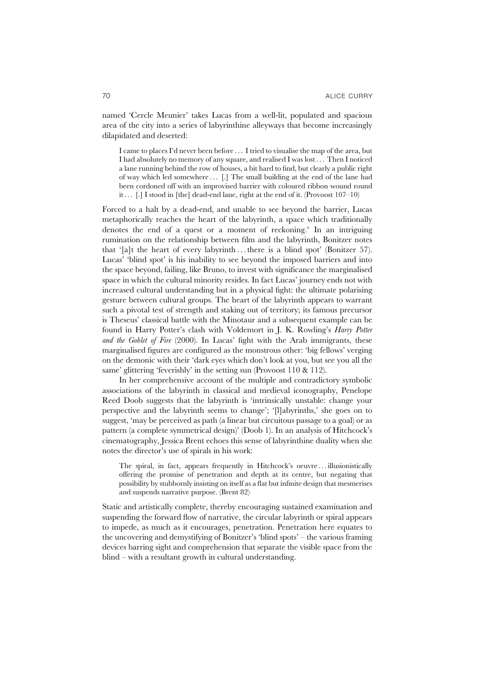named 'Cercle Meunier' takes Lucas from a well-lit, populated and spacious area of the city into a series of labyrinthine alleyways that become increasingly dilapidated and deserted:

I came to places I'd never been before . . . I tried to visualise the map of the area, but I had absolutely no memory of any square, and realised I was lost . . . Then I noticed a lane running behind the row of houses, a bit hard to find, but clearly a public right of way which led somewhere ... [.] The small building at the end of the lane had been cordoned off with an improvised barrier with coloured ribbon wound round it ...  $\lceil . \rceil$  I stood in  $\lceil$  [the] dead-end lane, right at the end of it. (Provoost 107–10)

Forced to a halt by a dead-end, and unable to see beyond the barrier, Lucas metaphorically reaches the heart of the labyrinth, a space which traditionally denotes the end of a quest or a moment of reckoning.<sup>4</sup> In an intriguing rumination on the relationship between film and the labyrinth, Bonitzer notes that '[a]t the heart of every labyrinth . . . there is a blind spot' (Bonitzer 57). Lucas' 'blind spot' is his inability to see beyond the imposed barriers and into the space beyond, failing, like Bruno, to invest with significance the marginalised space in which the cultural minority resides. In fact Lucas' journey ends not with increased cultural understanding but in a physical fight: the ultimate polarising gesture between cultural groups. The heart of the labyrinth appears to warrant such a pivotal test of strength and staking out of territory; its famous precursor is Theseus' classical battle with the Minotaur and a subsequent example can be found in Harry Potter's clash with Voldemort in J. K. Rowling's *Harry Potter and the Goblet of Fire* (2000). In Lucas' fight with the Arab immigrants, these marginalised figures are configured as the monstrous other: 'big fellows' verging on the demonic with their 'dark eyes which don't look at you, but see you all the same' glittering 'feverishly' in the setting sun (Provoost 110 & 112).

In her comprehensive account of the multiple and contradictory symbolic associations of the labyrinth in classical and medieval iconography, Penelope Reed Doob suggests that the labyrinth is 'intrinsically unstable: change your perspective and the labyrinth seems to change'; '[l]abyrinths,' she goes on to suggest, 'may be perceived as path (a linear but circuitous passage to a goal) or as pattern (a complete symmetrical design)' (Doob 1). In an analysis of Hitchcock's cinematography, Jessica Brent echoes this sense of labyrinthine duality when she notes the director's use of spirals in his work:

The spiral, in fact, appears frequently in Hitchcock's oeuvre... illusionistically offering the promise of penetration and depth at its centre, but negating that possibility by stubbornly insisting on itself as a flat but infinite design that mesmerises and suspends narrative purpose. (Brent 82)

Static and artistically complete, thereby encouraging sustained examination and suspending the forward flow of narrative, the circular labyrinth or spiral appears to impede, as much as it encourages, penetration. Penetration here equates to the uncovering and demystifying of Bonitzer's 'blind spots' – the various framing devices barring sight and comprehension that separate the visible space from the blind – with a resultant growth in cultural understanding.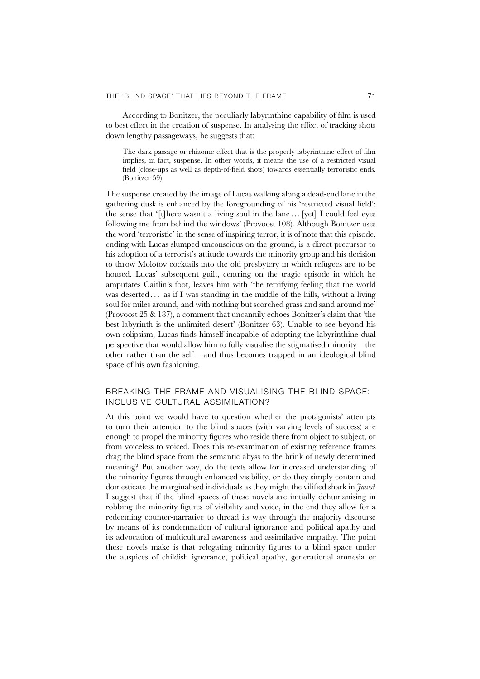According to Bonitzer, the peculiarly labyrinthine capability of film is used to best effect in the creation of suspense. In analysing the effect of tracking shots down lengthy passageways, he suggests that:

The dark passage or rhizome effect that is the properly labyrinthine effect of film implies, in fact, suspense. In other words, it means the use of a restricted visual field (close-ups as well as depth-of-field shots) towards essentially terroristic ends. (Bonitzer 59)

The suspense created by the image of Lucas walking along a dead-end lane in the gathering dusk is enhanced by the foregrounding of his 'restricted visual field': the sense that '[t]here wasn't a living soul in the lane  $\ldots$  [yet] I could feel eyes following me from behind the windows' (Provoost 108). Although Bonitzer uses the word 'terroristic' in the sense of inspiring terror, it is of note that this episode, ending with Lucas slumped unconscious on the ground, is a direct precursor to his adoption of a terrorist's attitude towards the minority group and his decision to throw Molotov cocktails into the old presbytery in which refugees are to be housed. Lucas' subsequent guilt, centring on the tragic episode in which he amputates Caitlin's foot, leaves him with 'the terrifying feeling that the world was deserted ... as if I was standing in the middle of the hills, without a living soul for miles around, and with nothing but scorched grass and sand around me' (Provoost 25 & 187), a comment that uncannily echoes Bonitzer's claim that 'the best labyrinth is the unlimited desert' (Bonitzer 63). Unable to see beyond his own solipsism, Lucas finds himself incapable of adopting the labyrinthine dual perspective that would allow him to fully visualise the stigmatised minority – the other rather than the self – and thus becomes trapped in an ideological blind space of his own fashioning.

### BREAKING THE FRAME AND VISUALISING THE BLIND SPACE: INCLUSIVE CULTURAL ASSIMILATION?

At this point we would have to question whether the protagonists' attempts to turn their attention to the blind spaces (with varying levels of success) are enough to propel the minority figures who reside there from object to subject, or from voiceless to voiced. Does this re-examination of existing reference frames drag the blind space from the semantic abyss to the brink of newly determined meaning? Put another way, do the texts allow for increased understanding of the minority figures through enhanced visibility, or do they simply contain and domesticate the marginalised individuals as they might the vilified shark in *Jaws*? I suggest that if the blind spaces of these novels are initially dehumanising in robbing the minority figures of visibility and voice, in the end they allow for a redeeming counter-narrative to thread its way through the majority discourse by means of its condemnation of cultural ignorance and political apathy and its advocation of multicultural awareness and assimilative empathy. The point these novels make is that relegating minority figures to a blind space under the auspices of childish ignorance, political apathy, generational amnesia or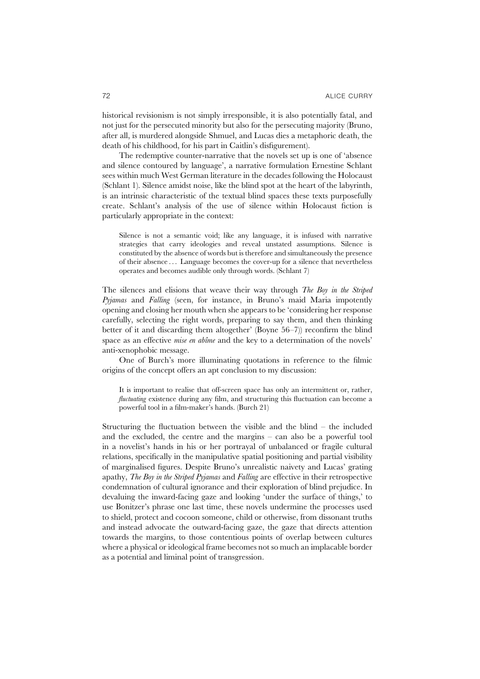historical revisionism is not simply irresponsible, it is also potentially fatal, and not just for the persecuted minority but also for the persecuting majority (Bruno, after all, is murdered alongside Shmuel, and Lucas dies a metaphoric death, the death of his childhood, for his part in Caitlin's disfigurement).

The redemptive counter-narrative that the novels set up is one of 'absence and silence contoured by language', a narrative formulation Ernestine Schlant sees within much West German literature in the decades following the Holocaust (Schlant 1). Silence amidst noise, like the blind spot at the heart of the labyrinth, is an intrinsic characteristic of the textual blind spaces these texts purposefully create. Schlant's analysis of the use of silence within Holocaust fiction is particularly appropriate in the context:

Silence is not a semantic void; like any language, it is infused with narrative strategies that carry ideologies and reveal unstated assumptions. Silence is constituted by the absence of words but is therefore and simultaneously the presence of their absence . . . Language becomes the cover-up for a silence that nevertheless operates and becomes audible only through words. (Schlant 7)

The silences and elisions that weave their way through *The Boy in the Striped Pyjamas* and *Falling* (seen, for instance, in Bruno's maid Maria impotently opening and closing her mouth when she appears to be 'considering her response carefully, selecting the right words, preparing to say them, and then thinking better of it and discarding them altogether' (Boyne 56–7)) reconfirm the blind space as an effective *mise en abîme* and the key to a determination of the novels' anti-xenophobic message.

One of Burch's more illuminating quotations in reference to the filmic origins of the concept offers an apt conclusion to my discussion:

It is important to realise that off-screen space has only an intermittent or, rather, *fluctuating* existence during any film, and structuring this fluctuation can become a powerful tool in a film-maker's hands. (Burch 21)

Structuring the fluctuation between the visible and the blind – the included and the excluded, the centre and the margins – can also be a powerful tool in a novelist's hands in his or her portrayal of unbalanced or fragile cultural relations, specifically in the manipulative spatial positioning and partial visibility of marginalised figures. Despite Bruno's unrealistic naivety and Lucas' grating apathy, *The Boy in the Striped Pyjamas* and *Falling* are effective in their retrospective condemnation of cultural ignorance and their exploration of blind prejudice. In devaluing the inward-facing gaze and looking 'under the surface of things,' to use Bonitzer's phrase one last time, these novels undermine the processes used to shield, protect and cocoon someone, child or otherwise, from dissonant truths and instead advocate the outward-facing gaze, the gaze that directs attention towards the margins, to those contentious points of overlap between cultures where a physical or ideological frame becomes not so much an implacable border as a potential and liminal point of transgression.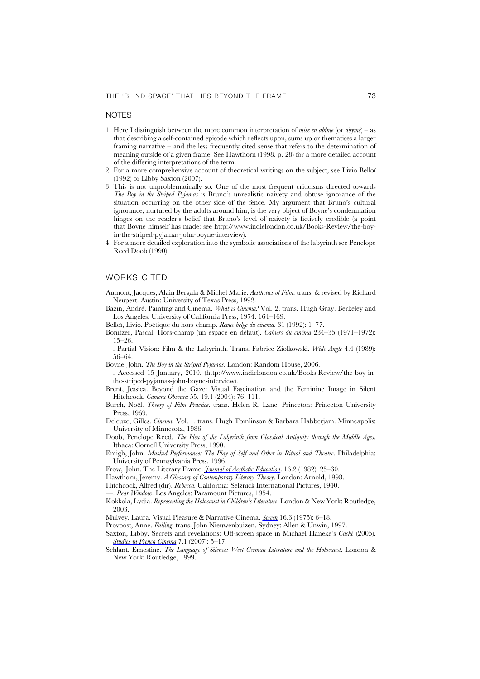#### **NOTES**

- 1. Here I distinguish between the more common interpretation of *mise en abîme* (or *abyme*) as that describing a self-contained episode which reflects upon, sums up or thematises a larger framing narrative – and the less frequently cited sense that refers to the determination of meaning outside of a given frame. See Hawthorn (1998, p. 28) for a more detailed account of the differing interpretations of the term.
- 2. For a more comprehensive account of theoretical writings on the subject, see Livio Belloï (1992) or Libby Saxton (2007).
- 3. This is not unproblematically so. One of the most frequent criticisms directed towards *The Boy in the Striped Pyjamas* is Bruno's unrealistic naivety and obtuse ignorance of the situation occurring on the other side of the fence. My argument that Bruno's cultural ignorance, nurtured by the adults around him, is the very object of Boyne's condemnation hinges on the reader's belief that Bruno's level of naivety is fictively credible (a point that Boyne himself has made: see http://www.indielondon.co.uk/Books-Review/the-boyin-the-striped-pyjamas-john-boyne-interview).
- 4. For a more detailed exploration into the symbolic associations of the labyrinth see Penelope Reed Doob (1990).

#### WORKS CITED

Aumont, Jacques, Alain Bergala & Michel Marie. *Aesthetics of Film*. trans. & revised by Richard Neupert. Austin: University of Texas Press, 1992.

Bazin, André. Painting and Cinema. *What is Cinema?* Vol. 2. trans. Hugh Gray. Berkeley and Los Angeles: University of California Press, 1974: 164–169.

Belloï, Livio. Poétique du hors-champ. *Revue belge du cinema*. 31 (1992): 1–77.

- Bonitzer, Pascal. Hors-champ (un espace en défaut). *Cahiers du cinéma* 234–35 (1971–1972): 15–26.
- —. Partial Vision: Film & the Labyrinth. Trans. Fabrice Ziolkowski. *Wide Angle* 4.4 (1989): 56–64.

Boyne, John. *The Boy in the Striped Pyjamas*. London: Random House, 2006.

- —. Accessed 15 January, 2010. (http://www.indielondon.co.uk/Books-Review/the-boy-inthe-striped-pyjamas-john-boyne-interview).
- Brent, Jessica. Beyond the Gaze: Visual Fascination and the Feminine Image in Silent Hitchcock. *Camera Obscura* 55. 19.1 (2004): 76–111.
- Burch, Noël. *Theory of Film Practice*. trans. Helen R. Lane. Princeton: Princeton University Press, 1969.
- Deleuze, Gilles. *Cinema*. Vol. 1. trans. Hugh Tomlinson & Barbara Habberjam. Minneapolis: University of Minnesota, 1986.
- Doob, Penelope Reed. *The Idea of the Labyrinth from Classical Antiquity through the Middle Ages*. Ithaca: Cornell University Press, 1990.
- Emigh, John. *Masked Performance: The Play of Self and Other in Ritual and Theatre*. Philadelphia: University of Pennsylvania Press, 1996.

Frow, John. The Literary Frame. *Journal of Aesthetic Education.* 16.2 (1982): 25–30.

- Hawthorn, Jeremy. *A Glossary of Contemporary Literary Theory*. London: Arnold, 1998.
- Hitchcock, Alfred (dir). *Rebecca*. California: Selznick International Pictures, 1940.

—. *Rear Window*. Los Angeles: Paramount Pictures, 1954.

- Kokkola, Lydia. *Representing the Holocaust in Children's Literature*. London & New York: Routledge, 2003.
- Mulvey, Laura. Visual Pleasure & Narrative Cinema. *Screen* 16.3 (1975): 6–18.
- Provoost, Anne. *Falling*. trans. John Nieuwenbuizen. Sydney: Allen & Unwin, 1997.
- Saxton, Libby. Secrets and revelations: Off-screen space in Michael Haneke's *Caché* (2005). *Studies in French Cinema* 7.1 (2007): 5–17.
- Schlant, Ernestine. *The Language of Silence: West German Literature and the Holocaust*. London & New York: Routledge, 1999.